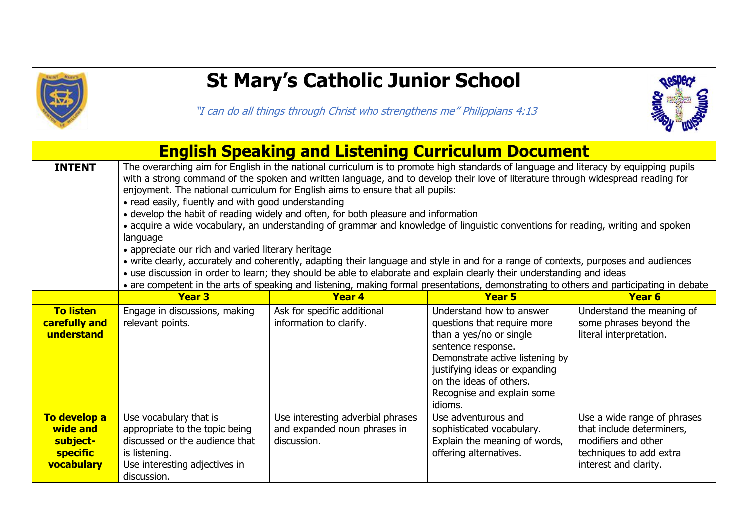

## **St Mary's Catholic Junior School**

"I can do all things through Christ who strengthens me" Philippians 4:13



| <b>English Speaking and Listening Curriculum Document</b>             |                                                                                                                                                                                                                                                                                                                                                                                                                                                                                                                                                                                                                                                                                                                                                                                                                                                                                                                                                                                                                                                                                                                            |                                                                                  |                                                                                                                                                                                                                                                  |                                                                                                                                     |  |  |  |
|-----------------------------------------------------------------------|----------------------------------------------------------------------------------------------------------------------------------------------------------------------------------------------------------------------------------------------------------------------------------------------------------------------------------------------------------------------------------------------------------------------------------------------------------------------------------------------------------------------------------------------------------------------------------------------------------------------------------------------------------------------------------------------------------------------------------------------------------------------------------------------------------------------------------------------------------------------------------------------------------------------------------------------------------------------------------------------------------------------------------------------------------------------------------------------------------------------------|----------------------------------------------------------------------------------|--------------------------------------------------------------------------------------------------------------------------------------------------------------------------------------------------------------------------------------------------|-------------------------------------------------------------------------------------------------------------------------------------|--|--|--|
| <b>INTENT</b>                                                         | The overarching aim for English in the national curriculum is to promote high standards of language and literacy by equipping pupils<br>with a strong command of the spoken and written language, and to develop their love of literature through widespread reading for<br>enjoyment. The national curriculum for English aims to ensure that all pupils:<br>• read easily, fluently and with good understanding<br>• develop the habit of reading widely and often, for both pleasure and information<br>· acquire a wide vocabulary, an understanding of grammar and knowledge of linguistic conventions for reading, writing and spoken<br>language<br>• appreciate our rich and varied literary heritage<br>• write clearly, accurately and coherently, adapting their language and style in and for a range of contexts, purposes and audiences<br>• use discussion in order to learn; they should be able to elaborate and explain clearly their understanding and ideas<br>• are competent in the arts of speaking and listening, making formal presentations, demonstrating to others and participating in debate |                                                                                  |                                                                                                                                                                                                                                                  |                                                                                                                                     |  |  |  |
|                                                                       | <b>Year 3</b>                                                                                                                                                                                                                                                                                                                                                                                                                                                                                                                                                                                                                                                                                                                                                                                                                                                                                                                                                                                                                                                                                                              | <b>Year 4</b>                                                                    | Year 5                                                                                                                                                                                                                                           | <b>Year 6</b>                                                                                                                       |  |  |  |
| <b>To listen</b><br>carefully and<br>understand                       | Engage in discussions, making<br>relevant points.                                                                                                                                                                                                                                                                                                                                                                                                                                                                                                                                                                                                                                                                                                                                                                                                                                                                                                                                                                                                                                                                          | Ask for specific additional<br>information to clarify.                           | Understand how to answer<br>questions that require more<br>than a yes/no or single<br>sentence response.<br>Demonstrate active listening by<br>justifying ideas or expanding<br>on the ideas of others.<br>Recognise and explain some<br>idioms. | Understand the meaning of<br>some phrases beyond the<br>literal interpretation.                                                     |  |  |  |
| To develop a<br>wide and<br>subject-<br><b>specific</b><br>vocabulary | Use vocabulary that is<br>appropriate to the topic being<br>discussed or the audience that<br>is listening.<br>Use interesting adjectives in<br>discussion.                                                                                                                                                                                                                                                                                                                                                                                                                                                                                                                                                                                                                                                                                                                                                                                                                                                                                                                                                                | Use interesting adverbial phrases<br>and expanded noun phrases in<br>discussion. | Use adventurous and<br>sophisticated vocabulary.<br>Explain the meaning of words,<br>offering alternatives.                                                                                                                                      | Use a wide range of phrases<br>that include determiners,<br>modifiers and other<br>techniques to add extra<br>interest and clarity. |  |  |  |